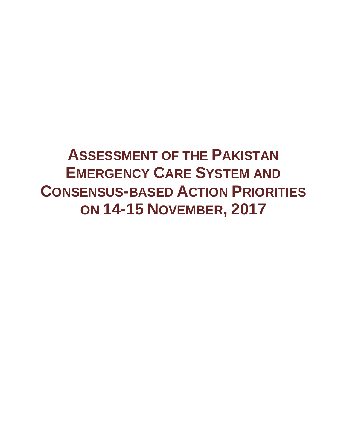**ASSESSMENT OF THE PAKISTAN EMERGENCY CARE SYSTEM AND CONSENSUS-BASED ACTION PRIORITIES ON 14-15 NOVEMBER, 2017**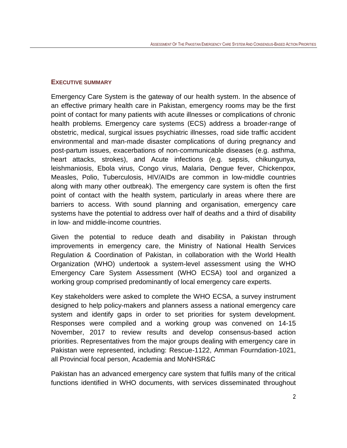#### <span id="page-1-0"></span>**EXECUTIVE SUMMARY**

Emergency Care System is the gateway of our health system. In the absence of an effective primary health care in Pakistan, emergency rooms may be the first point of contact for many patients with acute illnesses or complications of chronic health problems. Emergency care systems (ECS) address a broader-range of obstetric, medical, surgical issues psychiatric illnesses, road side traffic accident environmental and man-made disaster complications of during pregnancy and post-partum issues, exacerbations of non-communicable diseases (e.g. asthma, heart attacks, strokes), and Acute infections (e.g. sepsis, chikungunya, leishmaniosis, Ebola virus, Congo virus, Malaria, Dengue fever, Chickenpox, Measles, Polio, Tuberculosis, HIV/AIDs are common in low-middle countries along with many other outbreak). The emergency care system is often the first point of contact with the health system, particularly in areas where there are barriers to access. With sound planning and organisation, emergency ca**r**e systems have the potential to address over half of deaths and a third of disability in low- and middle-income countries.

Given the potential to reduce death and disability in Pakistan through improvements in emergency care, the Ministry of National Health Services Regulation & Coordination of Pakistan, in collaboration with the World Health Organization (WHO) undertook a system-level assessment using the WHO Emergency Care System Assessment (WHO ECSA) tool and organized a working group comprised predominantly of local emergency care experts.

Key stakeholders were asked to complete the WHO ECSA, a survey instrument designed to help policy-makers and planners assess a national emergency care system and identify gaps in order to set priorities for system development. Responses were compiled and a working group was convened on 14-15 November, 2017 to review results and develop consensus-based action priorities. Representatives from the major groups dealing with emergency care in Pakistan were represented, including: Rescue-1122, Amman Fourndation-1021, all Provincial focal person, Academia and MoNHSR&C

Pakistan has an advanced emergency care system that fulfils many of the critical functions identified in WHO documents, with services disseminated throughout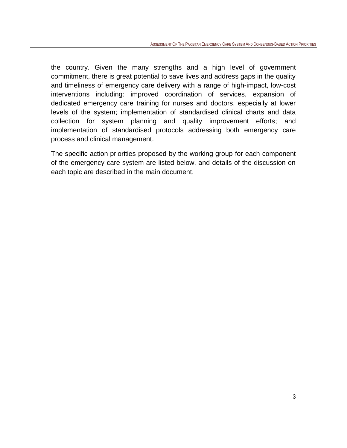the country. Given the many strengths and a high level of government commitment, there is great potential to save lives and address gaps in the quality and timeliness of emergency care delivery with a range of high-impact, low-cost interventions including: improved coordination of services, expansion of dedicated emergency care training for nurses and doctors, especially at lower levels of the system; implementation of standardised clinical charts and data collection for system planning and quality improvement efforts; and implementation of standardised protocols addressing both emergency care process and clinical management.

The specific action priorities proposed by the working group for each component of the emergency care system are listed below, and details of the discussion on each topic are described in the main document.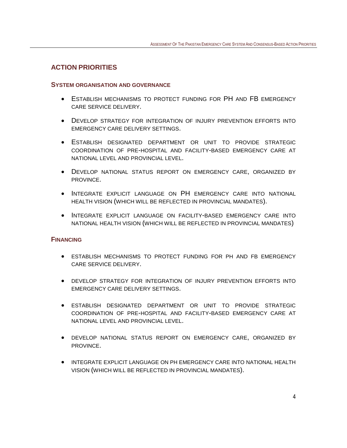#### <span id="page-3-0"></span>**ACTION PRIORITIES**

#### <span id="page-3-1"></span>**SYSTEM ORGANISATION AND GOVERNANCE**

- <span id="page-3-2"></span>• ESTABLISH MECHANISMS TO PROTECT FUNDING FOR PH AND FB EMERGENCY CARE SERVICE DELIVERY.
- DEVELOP STRATEGY FOR INTEGRATION OF INJURY PREVENTION EFFORTS INTO EMERGENCY CARE DELIVERY SETTINGS.
- ESTABLISH DESIGNATED DEPARTMENT OR UNIT TO PROVIDE STRATEGIC COORDINATION OF PRE-HOSPITAL AND FACILITY-BASED EMERGENCY CARE AT NATIONAL LEVEL AND PROVINCIAL LEVEL.
- DEVELOP NATIONAL STATUS REPORT ON EMERGENCY CARE, ORGANIZED BY PROVINCE.
- INTEGRATE EXPLICIT LANGUAGE ON PH EMERGENCY CARE INTO NATIONAL HEALTH VISION (WHICH WILL BE REFLECTED IN PROVINCIAL MANDATES).
- INTEGRATE EXPLICIT LANGUAGE ON FACILITY-BASED EMERGENCY CARE INTO NATIONAL HEALTH VISION (WHICH WILL BE REFLECTED IN PROVINCIAL MANDATES)

#### **FINANCING**

- <span id="page-3-3"></span>• ESTABLISH MECHANISMS TO PROTECT FUNDING FOR PH AND FB EMERGENCY CARE SERVICE DELIVERY.
- DEVELOP STRATEGY FOR INTEGRATION OF INJURY PREVENTION EFFORTS INTO EMERGENCY CARE DELIVERY SETTINGS.
- ESTABLISH DESIGNATED DEPARTMENT OR UNIT TO PROVIDE STRATEGIC COORDINATION OF PRE-HOSPITAL AND FACILITY-BASED EMERGENCY CARE AT NATIONAL LEVEL AND PROVINCIAL LEVEL.
- DEVELOP NATIONAL STATUS REPORT ON EMERGENCY CARE, ORGANIZED BY PROVINCE.
- INTEGRATE EXPLICIT LANGUAGE ON PH EMERGENCY CARE INTO NATIONAL HEALTH VISION (WHICH WILL BE REFLECTED IN PROVINCIAL MANDATES).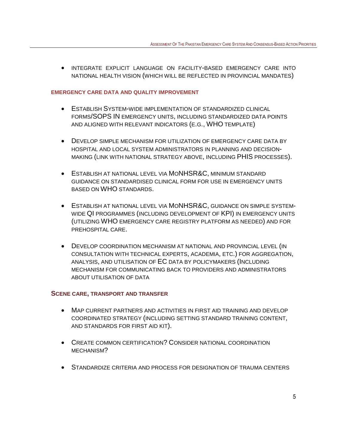• INTEGRATE EXPLICIT LANGUAGE ON FACILITY-BASED EMERGENCY CARE INTO NATIONAL HEALTH VISION (WHICH WILL BE REFLECTED IN PROVINCIAL MANDATES)

#### **EMERGENCY CARE DATA AND QUALITY IMPROVEMENT**

- <span id="page-4-0"></span>• ESTABLISH SYSTEM-WIDE IMPLEMENTATION OF STANDARDIZED CLINICAL FORMS/SOPS IN EMERGENCY UNITS, INCLUDING STANDARDIZED DATA POINTS AND ALIGNED WITH RELEVANT INDICATORS (E.G., WHO TEMPLATE)
- DEVELOP SIMPLE MECHANISM FOR UTILIZATION OF EMERGENCY CARE DATA BY HOSPITAL AND LOCAL SYSTEM ADMINISTRATORS IN PLANNING AND DECISION-MAKING (LINK WITH NATIONAL STRATEGY ABOVE, INCLUDING PHIS PROCESSES).
- ESTABLISH AT NATIONAL LEVEL VIA MONHSR&C, MINIMUM STANDARD GUIDANCE ON STANDARDISED CLINICAL FORM FOR USE IN EMERGENCY UNITS BASED ON WHO STANDARDS.
- ESTABLISH AT NATIONAL LEVEL VIA MONHSR&C, GUIDANCE ON SIMPLE SYSTEM-WIDE QI PROGRAMMES (INCLUDING DEVELOPMENT OF KPI) IN EMERGENCY UNITS (UTILIZING WHO EMERGENCY CARE REGISTRY PLATFORM AS NEEDED) AND FOR PREHOSPITAL CARE.
- DEVELOP COORDINATION MECHANISM AT NATIONAL AND PROVINCIAL LEVEL (IN CONSULTATION WITH TECHNICAL EXPERTS, ACADEMIA, ETC.) FOR AGGREGATION, ANALYSIS, AND UTILISATION OF EC DATA BY POLICYMAKERS (INCLUDING MECHANISM FOR COMMUNICATING BACK TO PROVIDERS AND ADMINISTRATORS ABOUT UTILISATION OF DATA

#### **SCENE CARE, TRANSPORT AND TRANSFER**

- <span id="page-4-1"></span>• MAP CURRENT PARTNERS AND ACTIVITIES IN FIRST AID TRAINING AND DEVELOP COORDINATED STRATEGY (INCLUDING SETTING STANDARD TRAINING CONTENT, AND STANDARDS FOR FIRST AID KIT).
- CREATE COMMON CERTIFICATION? CONSIDER NATIONAL COORDINATION MECHANISM?
- STANDARDIZE CRITERIA AND PROCESS FOR DESIGNATION OF TRAUMA CENTERS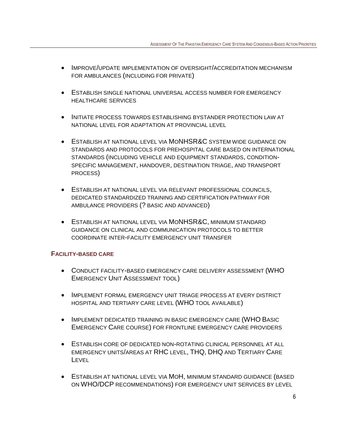- IMPROVE/UPDATE IMPLEMENTATION OF OVERSIGHT/ACCREDITATION MECHANISM FOR AMBULANCES (INCLUDING FOR PRIVATE)
- ESTABLISH SINGLE NATIONAL UNIVERSAL ACCESS NUMBER FOR EMERGENCY HEALTHCARE SERVICES
- INITIATE PROCESS TOWARDS ESTABLISHING BYSTANDER PROTECTION LAW AT NATIONAL LEVEL FOR ADAPTATION AT PROVINCIAL LEVEL
- ESTABLISH AT NATIONAL LEVEL VIA MONHSR&C SYSTEM WIDE GUIDANCE ON STANDARDS AND PROTOCOLS FOR PREHOSPITAL CARE BASED ON INTERNATIONAL STANDARDS (INCLUDING VEHICLE AND EQUIPMENT STANDARDS, CONDITION-SPECIFIC MANAGEMENT, HANDOVER, DESTINATION TRIAGE, AND TRANSPORT PROCESS)
- ESTABLISH AT NATIONAL LEVEL VIA RELEVANT PROFESSIONAL COUNCILS, DEDICATED STANDARDIZED TRAINING AND CERTIFICATION PATHWAY FOR AMBULANCE PROVIDERS (? BASIC AND ADVANCED)
- ESTABLISH AT NATIONAL LEVEL VIA MONHSR&C, MINIMUM STANDARD GUIDANCE ON CLINICAL AND COMMUNICATION PROTOCOLS TO BETTER COORDINATE INTER-FACILITY EMERGENCY UNIT TRANSFER

## **FACILITY-BASED CARE**

- <span id="page-5-0"></span>• CONDUCT FACILITY-BASED EMERGENCY CARE DELIVERY ASSESSMENT (WHO EMERGENCY UNIT ASSESSMENT TOOL)
- IMPLEMENT FORMAL EMERGENCY UNIT TRIAGE PROCESS AT EVERY DISTRICT HOSPITAL AND TERTIARY CARE LEVEL (WHO TOOL AVAILABLE)
- IMPLEMENT DEDICATED TRAINING IN BASIC EMERGENCY CARE (WHO BASIC EMERGENCY CARE COURSE) FOR FRONTLINE EMERGENCY CARE PROVIDERS
- ESTABLISH CORE OF DEDICATED NON-ROTATING CLINICAL PERSONNEL AT ALL EMERGENCY UNITS/AREAS AT RHC LEVEL, THQ, DHQ AND TERTIARY CARE **LEVEL**
- ESTABLISH AT NATIONAL LEVEL VIA MOH, MINIMUM STANDARD GUIDANCE (BASED ON WHO/DCP RECOMMENDATIONS) FOR EMERGENCY UNIT SERVICES BY LEVEL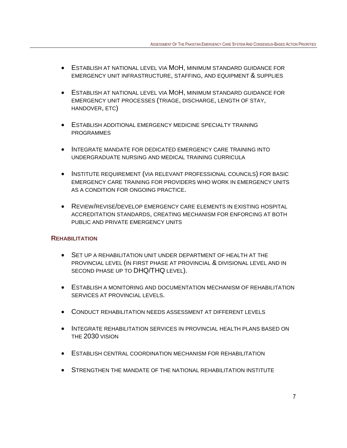- ESTABLISH AT NATIONAL LEVEL VIA MOH, MINIMUM STANDARD GUIDANCE FOR EMERGENCY UNIT INFRASTRUCTURE, STAFFING, AND EQUIPMENT & SUPPLIES
- ESTABLISH AT NATIONAL LEVEL VIA MOH, MINIMUM STANDARD GUIDANCE FOR EMERGENCY UNIT PROCESSES (TRIAGE, DISCHARGE, LENGTH OF STAY, HANDOVER, ETC)
- ESTABLISH ADDITIONAL EMERGENCY MEDICINE SPECIALTY TRAINING PROGRAMMES
- INTEGRATE MANDATE FOR DEDICATED EMERGENCY CARE TRAINING INTO UNDERGRADUATE NURSING AND MEDICAL TRAINING CURRICULA
- INSTITUTE REQUIREMENT (VIA RELEVANT PROFESSIONAL COUNCILS) FOR BASIC EMERGENCY CARE TRAINING FOR PROVIDERS WHO WORK IN EMERGENCY UNITS AS A CONDITION FOR ONGOING PRACTICE.
- REVIEW/REVISE/DEVELOP EMERGENCY CARE ELEMENTS IN EXISTING HOSPITAL ACCREDITATION STANDARDS, CREATING MECHANISM FOR ENFORCING AT BOTH PUBLIC AND PRIVATE EMERGENCY UNITS

## **REHABILITATION**

- <span id="page-6-0"></span>• SET UP A REHABILITATION UNIT UNDER DEPARTMENT OF HEALTH AT THE PROVINCIAL LEVEL (IN FIRST PHASE AT PROVINCIAL & DIVISIONAL LEVEL AND IN SECOND PHASE UP TO DHQ/THQ LEVEL).
- ESTABLISH A MONITORING AND DOCUMENTATION MECHANISM OF REHABILITATION SERVICES AT PROVINCIAL LEVELS.
- CONDUCT REHABILITATION NEEDS ASSESSMENT AT DIFFERENT LEVELS
- INTEGRATE REHABILITATION SERVICES IN PROVINCIAL HEALTH PLANS BASED ON THE 2030 VISION
- ESTABLISH CENTRAL COORDINATION MECHANISM FOR REHABILITATION
- STRENGTHEN THE MANDATE OF THE NATIONAL REHABILITATION INSTITUTE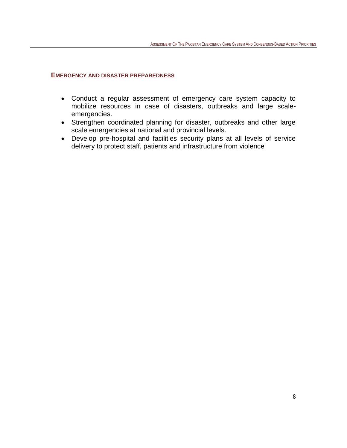#### **EMERGENCY AND DISASTER PREPAREDNESS**

- Conduct a regular assessment of emergency care system capacity to mobilize resources in case of disasters, outbreaks and large scaleemergencies.
- Strengthen coordinated planning for disaster, outbreaks and other large scale emergencies at national and provincial levels.
- Develop pre-hospital and facilities security plans at all levels of service delivery to protect staff, patients and infrastructure from violence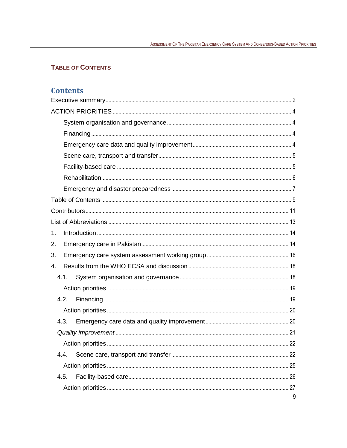## <span id="page-8-0"></span>**TABLE OF CONTENTS**

## **Contents**

| 1.   |   |
|------|---|
| 2.   |   |
| 3.   |   |
| 4.   |   |
| 4.1. |   |
|      |   |
| 4.2. |   |
|      |   |
| 4.3. |   |
|      |   |
|      |   |
| 4.4. |   |
|      |   |
| 4.5. |   |
|      |   |
|      | 9 |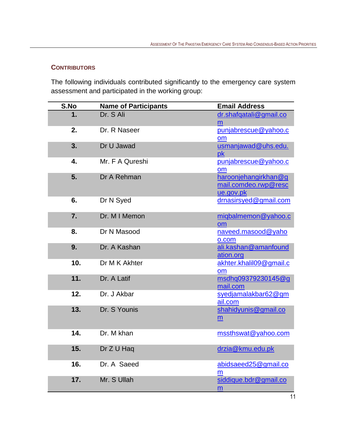## <span id="page-10-0"></span>**CONTRIBUTORS**

The following individuals contributed significantly to the emergency care system assessment and participated in the working group:

| S.No | <b>Name of Participants</b> | <b>Email Address</b>                                      |
|------|-----------------------------|-----------------------------------------------------------|
| 1.   | Dr. S Ali                   | dr.shafqatali@gmail.co<br>m                               |
| 2.   | Dr. R Naseer                | punjabrescue@yahoo.c<br>om                                |
| 3.   | Dr U Jawad                  | usmanjawad@uhs.edu.<br>pk                                 |
| 4.   | Mr. F A Qureshi             | punjabrescue@yahoo.c<br>om                                |
| 5.   | Dr A Rehman                 | haroonjehangirkhan@g<br>mail.comdeo.rwp@resc<br>ue.gov.pk |
| 6.   | Dr N Syed                   | drnasirsyed@gmail.com                                     |
| 7.   | Dr. M I Memon               | migbalmemon@yahoo.c<br>om                                 |
| 8.   | Dr N Masood                 | naveed.masood@yaho<br>o.com                               |
| 9.   | Dr. A Kashan                | ali.kashan@amanfound<br>ation.org                         |
| 10.  | Dr M K Akhter               | akhter.khalil09@gmail.c<br>om                             |
| 11.  | Dr. A Latif                 | msdhq09379230145@g<br>mail.com                            |
| 12.  | Dr. J Akbar                 | syedjamalakbar62@gm<br>ail.com                            |
| 13.  | Dr. S Younis                | shahidyunis@gmail.co<br>$\underline{m}$                   |
| 14.  | Dr. M khan                  | mssthswat@yahoo.com                                       |
| 15.  | Dr Z U Haq                  | drzia@kmu.edu.pk                                          |
| 16.  | Dr. A Saeed                 | abidsaeed25@gmail.co<br>m                                 |
| 17.  | Mr. S Ullah                 | siddique.bdr@gmail.co<br>m                                |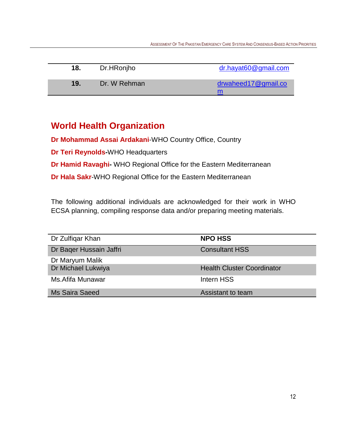| 18. | Dr.HRonjho   | $dr$ .hayat $60@$ gmail.com |
|-----|--------------|-----------------------------|
| 19. | Dr. W Rehman | drwaheed17@gmail.co<br>m    |

# **World Health Organization**

**Dr Mohammad Assai Ardakani**-WHO Country Office, Country

**Dr Teri Reynolds-**WHO Headquarters

**Dr Hamid Ravaghi-** WHO Regional Office for the Eastern Mediterranean

**Dr Hala Sakr**-WHO Regional Office for the Eastern Mediterranean

The following additional individuals are acknowledged for their work in WHO ECSA planning, compiling response data and/or preparing meeting materials.

| Dr Zulfigar Khan        | <b>NPO HSS</b>                    |
|-------------------------|-----------------------------------|
| Dr Bager Hussain Jaffri | <b>Consultant HSS</b>             |
| Dr Maryum Malik         |                                   |
| Dr Michael Lukwiya      | <b>Health Cluster Coordinator</b> |
| Ms. Afifa Munawar       | Intern HSS                        |
| <b>Ms Saira Saeed</b>   | Assistant to team                 |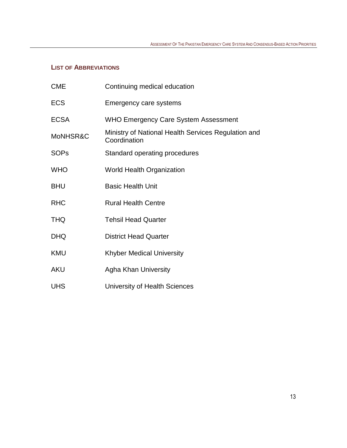## <span id="page-12-0"></span>**LIST OF ABBREVIATIONS**

| <b>CME</b>  | Continuing medical education                                        |
|-------------|---------------------------------------------------------------------|
| <b>ECS</b>  | Emergency care systems                                              |
| <b>ECSA</b> | <b>WHO Emergency Care System Assessment</b>                         |
| MoNHSR&C    | Ministry of National Health Services Regulation and<br>Coordination |
| <b>SOPs</b> | Standard operating procedures                                       |
| <b>WHO</b>  | <b>World Health Organization</b>                                    |
| <b>BHU</b>  | <b>Basic Health Unit</b>                                            |
| <b>RHC</b>  | <b>Rural Health Centre</b>                                          |
| <b>THQ</b>  | <b>Tehsil Head Quarter</b>                                          |
| <b>DHQ</b>  | <b>District Head Quarter</b>                                        |
| KMU         | <b>Khyber Medical University</b>                                    |
| <b>AKU</b>  | <b>Agha Khan University</b>                                         |
| <b>UHS</b>  | University of Health Sciences                                       |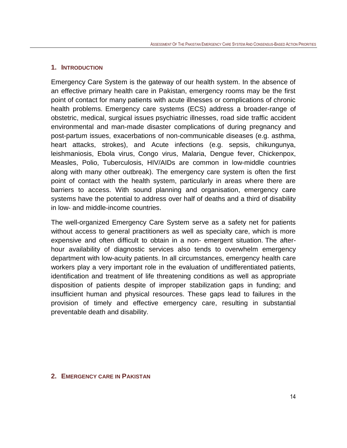#### <span id="page-13-0"></span>**1. INTRODUCTION**

Emergency Care System is the gateway of our health system. In the absence of an effective primary health care in Pakistan, emergency rooms may be the first point of contact for many patients with acute illnesses or complications of chronic health problems. Emergency care systems (ECS) address a broader-range of obstetric, medical, surgical issues psychiatric illnesses, road side traffic accident environmental and man-made disaster complications of during pregnancy and post-partum issues, exacerbations of non-communicable diseases (e.g. asthma, heart attacks, strokes), and Acute infections (e.g. sepsis, chikungunya, leishmaniosis, Ebola virus, Congo virus, Malaria, Dengue fever, Chickenpox, Measles, Polio, Tuberculosis, HIV/AIDs are common in low-middle countries along with many other outbreak). The emergency care system is often the first point of contact with the health system, particularly in areas where there are barriers to access. With sound planning and organisation, emergency ca**r**e systems have the potential to address over half of deaths and a third of disability in low- and middle-income countries.

The well-organized Emergency Care System serve as a safety net for patients without access to general practitioners as well as specialty care, which is more expensive and often difficult to obtain in a non- emergent situation. The afterhour availability of diagnostic services also tends to overwhelm emergency department with low-acuity patients. In all circumstances, emergency health care workers play a very important role in the evaluation of undifferentiated patients, identification and treatment of life threatening conditions as well as appropriate disposition of patients despite of improper stabilization gaps in funding; and insufficient human and physical resources. These gaps lead to failures in the provision of timely and effective emergency care, resulting in substantial preventable death and disability.

#### <span id="page-13-1"></span>**2. EMERGENCY CARE IN PAKISTAN**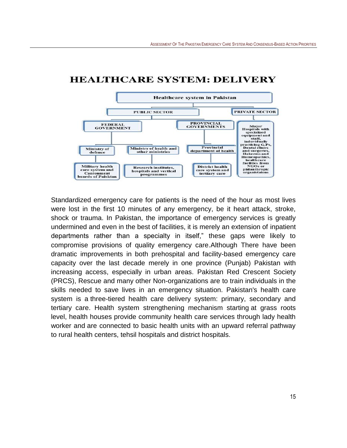

## **HEALTHCARE SYSTEM: DELIVERY**

Standardized emergency care for patients is the need of the hour as most lives were lost in the first 10 minutes of any emergency, be it heart attack, stroke, shock or trauma. In Pakistan, the importance of emergency services is greatly undermined and even in the best of facilities, it is merely an extension of inpatient departments rather than a specialty in itself," these gaps were likely to compromise provisions of quality emergency care.Although There have been dramatic improvements in both prehospital and facility-based emergency care capacity over the last decade merely in one province (Punjab) Pakistan with increasing access, especially in urban areas. Pakistan Red Crescent Society (PRCS), Rescue and many other Non-organizations are to train individuals in the skills needed to save lives in an emergency situation. Pakistan's health care system is a three-tiered health care delivery system: primary, secondary and tertiary care. Health system strengthening mechanism starting at grass roots level, health houses provide community health care services through lady health worker and are connected to basic health units with an upward referral pathway to rural health centers, tehsil hospitals and district hospitals.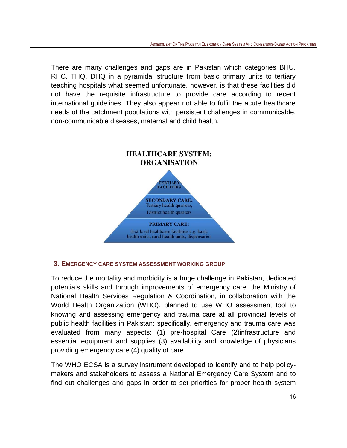There are many challenges and gaps are in Pakistan which categories BHU, RHC, THQ, DHQ in a pyramidal structure from basic primary units to tertiary teaching hospitals what seemed unfortunate, however, is that these facilities did not have the requisite infrastructure to provide care according to recent international guidelines. They also appear not able to fulfil the acute healthcare needs of the catchment populations with persistent challenges in communicable, non-communicable diseases, maternal and child health.



## <span id="page-15-0"></span>**3. EMERGENCY CARE SYSTEM ASSESSMENT WORKING GROUP**

To reduce the mortality and morbidity is a huge challenge in Pakistan, dedicated potentials skills and through improvements of emergency care, the Ministry of National Health Services Regulation & Coordination, in collaboration with the World Health Organization (WHO), planned to use WHO assessment tool to knowing and assessing emergency and trauma care at all provincial levels of public health facilities in Pakistan; specifically, emergency and trauma care was evaluated from many aspects: (1) pre-hospital Care (2)infrastructure and essential equipment and supplies (3) availability and knowledge of physicians providing emergency care.(4) quality of care

The WHO ECSA is a survey instrument developed to identify and to help policymakers and stakeholders to assess a National Emergency Care System and to find out challenges and gaps in order to set priorities for proper health system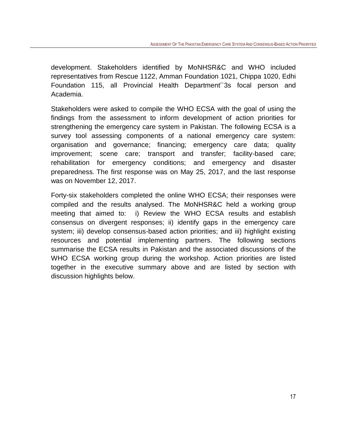development. Stakeholders identified by MoNHSR&C and WHO included representatives from Rescue 1122, Amman Foundation 1021, Chippa 1020, Edhi Foundation 115, all Provincial Health Department'`3s focal person and Academia.

Stakeholders were asked to compile the WHO ECSA with the goal of using the findings from the assessment to inform development of action priorities for strengthening the emergency care system in Pakistan. The following ECSA is a survey tool assessing components of a national emergency care system: organisation and governance; financing; emergency care data; quality improvement; scene care; transport and transfer; facility-based care; rehabilitation for emergency conditions; and emergency and disaster preparedness. The first response was on May 25, 2017, and the last response was on November 12, 2017.

Forty-six stakeholders completed the online WHO ECSA; their responses were compiled and the results analysed. The MoNHSR&C held a working group meeting that aimed to: i) Review the WHO ECSA results and establish consensus on divergent responses; ii) identify gaps in the emergency care system; iii) develop consensus-based action priorities; and iii) highlight existing resources and potential implementing partners. The following sections summarise the ECSA results in Pakistan and the associated discussions of the WHO ECSA working group during the workshop. Action priorities are listed together in the executive summary above and are listed by section with discussion highlights below.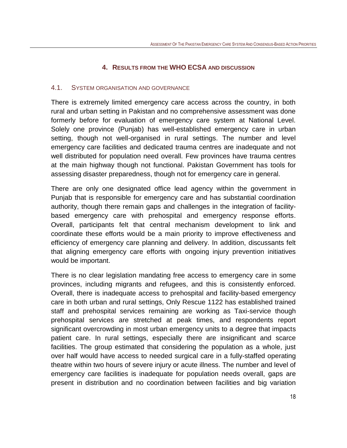#### **4. RESULTS FROM THE WHO ECSA AND DISCUSSION**

#### <span id="page-17-1"></span><span id="page-17-0"></span>4.1. SYSTEM ORGANISATION AND GOVERNANCE

There is extremely limited emergency care access across the country, in both rural and urban setting in Pakistan and no comprehensive assessment was done formerly before for evaluation of emergency care system at National Level. Solely one province (Punjab) has well-established emergency care in urban setting, though not well-organised in rural settings. The number and level emergency care facilities and dedicated trauma centres are inadequate and not well distributed for population need overall. Few provinces have trauma centres at the main highway though not functional. Pakistan Government has tools for assessing disaster preparedness, though not for emergency care in general.

There are only one designated office lead agency within the government in Punjab that is responsible for emergency care and has substantial coordination authority, though there remain gaps and challenges in the integration of facilitybased emergency care with prehospital and emergency response efforts. Overall, participants felt that central mechanism development to link and coordinate these efforts would be a main priority to improve effectiveness and efficiency of emergency care planning and delivery. In addition, discussants felt that aligning emergency care efforts with ongoing injury prevention initiatives would be important.

There is no clear legislation mandating free access to emergency care in some provinces, including migrants and refugees, and this is consistently enforced. Overall, there is inadequate access to prehospital and facility-based emergency care in both urban and rural settings, Only Rescue 1122 has established trained staff and prehospital services remaining are working as Taxi-service though prehospital services are stretched at peak times, and respondents report significant overcrowding in most urban emergency units to a degree that impacts patient care. In rural settings, especially there are insignificant and scarce facilities. The group estimated that considering the population as a whole, just over half would have access to needed surgical care in a fully-staffed operating theatre within two hours of severe injury or acute illness. The number and level of emergency care facilities is inadequate for population needs overall, gaps are present in distribution and no coordination between facilities and big variation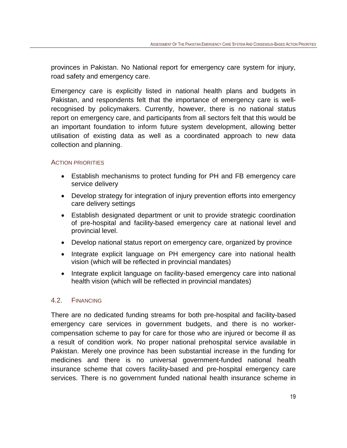provinces in Pakistan. No National report for emergency care system for injury, road safety and emergency care.

Emergency care is explicitly listed in national health plans and budgets in Pakistan, and respondents felt that the importance of emergency care is wellrecognised by policymakers. Currently, however, there is no national status report on emergency care, and participants from all sectors felt that this would be an important foundation to inform future system development, allowing better utilisation of existing data as well as a coordinated approach to new data collection and planning.

#### <span id="page-18-0"></span>ACTION PRIORITIES

- Establish mechanisms to protect funding for PH and FB emergency care service delivery
- Develop strategy for integration of injury prevention efforts into emergency care delivery settings
- Establish designated department or unit to provide strategic coordination of pre-hospital and facility-based emergency care at national level and provincial level.
- Develop national status report on emergency care, organized by province
- Integrate explicit language on PH emergency care into national health vision (which will be reflected in provincial mandates)
- Integrate explicit language on facility-based emergency care into national health vision (which will be reflected in provincial mandates)

#### <span id="page-18-1"></span>4.2. FINANCING

There are no dedicated funding streams for both pre-hospital and facility-based emergency care services in government budgets, and there is no workercompensation scheme to pay for care for those who are injured or become ill as a result of condition work. No proper national prehospital service available in Pakistan. Merely one province has been substantial increase in the funding for medicines and there is no universal government-funded national health insurance scheme that covers facility-based and pre-hospital emergency care services. There is no government funded national health insurance scheme in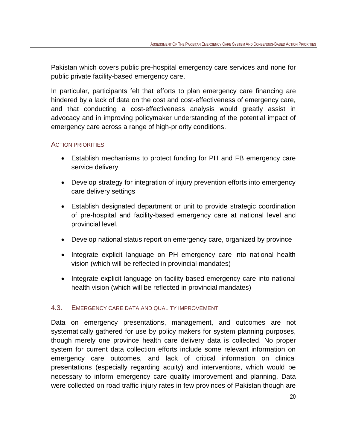Pakistan which covers public pre-hospital emergency care services and none for public private facility-based emergency care.

In particular, participants felt that efforts to plan emergency care financing are hindered by a lack of data on the cost and cost-effectiveness of emergency care, and that conducting a cost-effectiveness analysis would greatly assist in advocacy and in improving policymaker understanding of the potential impact of emergency care across a range of high-priority conditions.

## <span id="page-19-0"></span>ACTION PRIORITIES

- Establish mechanisms to protect funding for PH and FB emergency care service delivery
- Develop strategy for integration of injury prevention efforts into emergency care delivery settings
- Establish designated department or unit to provide strategic coordination of pre-hospital and facility-based emergency care at national level and provincial level.
- Develop national status report on emergency care, organized by province
- Integrate explicit language on PH emergency care into national health vision (which will be reflected in provincial mandates)
- Integrate explicit language on facility-based emergency care into national health vision (which will be reflected in provincial mandates)

## <span id="page-19-1"></span>4.3. EMERGENCY CARE DATA AND QUALITY IMPROVEMENT

Data on emergency presentations, management, and outcomes are not systematically gathered for use by policy makers for system planning purposes, though merely one province health care delivery data is collected. No proper system for current data collection efforts include some relevant information on emergency care outcomes, and lack of critical information on clinical presentations (especially regarding acuity) and interventions, which would be necessary to inform emergency care quality improvement and planning. Data were collected on road traffic injury rates in few provinces of Pakistan though are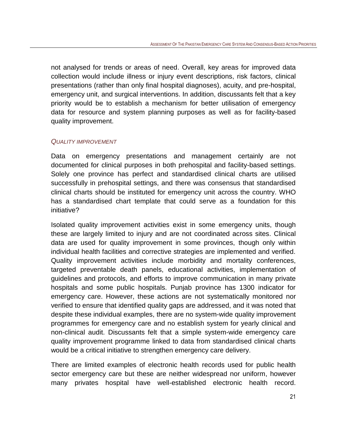not analysed for trends or areas of need. Overall, key areas for improved data collection would include illness or injury event descriptions, risk factors, clinical presentations (rather than only final hospital diagnoses), acuity, and pre-hospital, emergency unit, and surgical interventions. In addition, discussants felt that a key priority would be to establish a mechanism for better utilisation of emergency data for resource and system planning purposes as well as for facility-based quality improvement.

#### <span id="page-20-0"></span>*QUALITY IMPROVEMENT*

Data on emergency presentations and management certainly are not documented for clinical purposes in both prehospital and facility-based settings. Solely one province has perfect and standardised clinical charts are utilised successfully in prehospital settings, and there was consensus that standardised clinical charts should be instituted for emergency unit across the country. WHO has a standardised chart template that could serve as a foundation for this initiative?

Isolated quality improvement activities exist in some emergency units, though these are largely limited to injury and are not coordinated across sites. Clinical data are used for quality improvement in some provinces, though only within individual health facilities and corrective strategies are implemented and verified. Quality improvement activities include morbidity and mortality conferences, targeted preventable death panels, educational activities, implementation of guidelines and protocols, and efforts to improve communication in many private hospitals and some public hospitals. Punjab province has 1300 indicator for emergency care. However, these actions are not systematically monitored nor verified to ensure that identified quality gaps are addressed, and it was noted that despite these individual examples, there are no system-wide quality improvement programmes for emergency care and no establish system for yearly clinical and non-clinical audit. Discussants felt that a simple system-wide emergency care quality improvement programme linked to data from standardised clinical charts would be a critical initiative to strengthen emergency care delivery.

There are limited examples of electronic health records used for public health sector emergency care but these are neither widespread nor uniform, however many privates hospital have well-established electronic health record.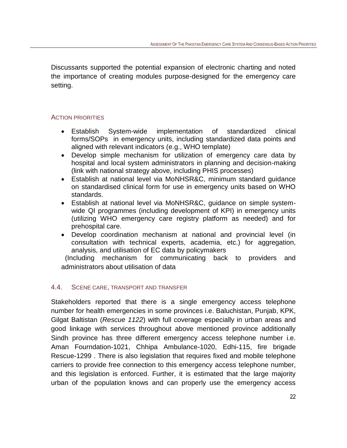Discussants supported the potential expansion of electronic charting and noted the importance of creating modules purpose-designed for the emergency care setting.

## <span id="page-21-0"></span>ACTION PRIORITIES

- Establish System-wide implementation of standardized clinical forms/SOPs in emergency units, including standardized data points and aligned with relevant indicators (e.g., WHO template)
- Develop simple mechanism for utilization of emergency care data by hospital and local system administrators in planning and decision-making (link with national strategy above, including PHIS processes)
- Establish at national level via MoNHSR&C, minimum standard guidance on standardised clinical form for use in emergency units based on WHO standards.
- Establish at national level via MoNHSR&C, guidance on simple systemwide QI programmes (including development of KPI) in emergency units (utilizing WHO emergency care registry platform as needed) and for prehospital care.
- Develop coordination mechanism at national and provincial level (in consultation with technical experts, academia, etc.) for aggregation, analysis, and utilisation of EC data by policymakers

 (Including mechanism for communicating back to providers and administrators about utilisation of data

## <span id="page-21-1"></span>4.4. SCENE CARE, TRANSPORT AND TRANSFER

Stakeholders reported that there is a single emergency access telephone number for health emergencies in some provinces i.e. Baluchistan, Punjab, KPK, Gilgat Baltistan (*Rescue 1122*) with full coverage especially in urban areas and good linkage with services throughout above mentioned province additionally Sindh province has three different emergency access telephone number i.e. Aman Fourndation-1021, Chhipa Ambulance-1020, Edhi-115, fire brigade Rescue-1299 . There is also legislation that requires fixed and mobile telephone carriers to provide free connection to this emergency access telephone number, and this legislation is enforced. Further, it is estimated that the large majority urban of the population knows and can properly use the emergency access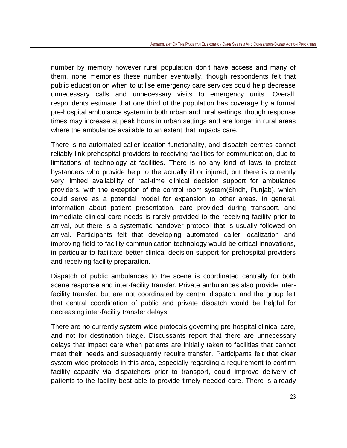number by memory however rural population don't have access and many of them, none memories these number eventually, though respondents felt that public education on when to utilise emergency care services could help decrease unnecessary calls and unnecessary visits to emergency units. Overall, respondents estimate that one third of the population has coverage by a formal pre-hospital ambulance system in both urban and rural settings, though response times may increase at peak hours in urban settings and are longer in rural areas where the ambulance available to an extent that impacts care.

There is no automated caller location functionality, and dispatch centres cannot reliably link prehospital providers to receiving facilities for communication, due to limitations of technology at facilities. There is no any kind of laws to protect bystanders who provide help to the actually ill or injured, but there is currently very limited availability of real-time clinical decision support for ambulance providers, with the exception of the control room system(Sindh, Punjab), which could serve as a potential model for expansion to other areas. In general, information about patient presentation, care provided during transport, and immediate clinical care needs is rarely provided to the receiving facility prior to arrival, but there is a systematic handover protocol that is usually followed on arrival. Participants felt that developing automated caller localization and improving field-to-facility communication technology would be critical innovations, in particular to facilitate better clinical decision support for prehospital providers and receiving facility preparation.

Dispatch of public ambulances to the scene is coordinated centrally for both scene response and inter-facility transfer. Private ambulances also provide interfacility transfer, but are not coordinated by central dispatch, and the group felt that central coordination of public and private dispatch would be helpful for decreasing inter-facility transfer delays.

There are no currently system-wide protocols governing pre-hospital clinical care, and not for destination triage. Discussants report that there are unnecessary delays that impact care when patients are initially taken to facilities that cannot meet their needs and subsequently require transfer. Participants felt that clear system-wide protocols in this area, especially regarding a requirement to confirm facility capacity via dispatchers prior to transport, could improve delivery of patients to the facility best able to provide timely needed care. There is already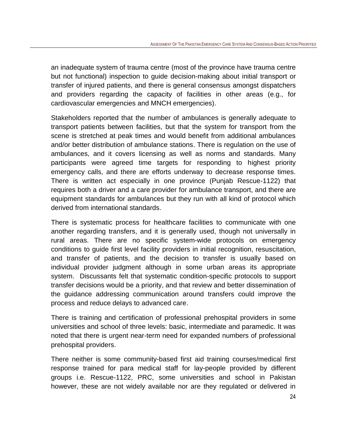an inadequate system of trauma centre (most of the province have trauma centre but not functional) inspection to guide decision-making about initial transport or transfer of injured patients, and there is general consensus amongst dispatchers and providers regarding the capacity of facilities in other areas (e.g., for cardiovascular emergencies and MNCH emergencies).

Stakeholders reported that the number of ambulances is generally adequate to transport patients between facilities, but that the system for transport from the scene is stretched at peak times and would benefit from additional ambulances and/or better distribution of ambulance stations. There is regulation on the use of ambulances, and it covers licensing as well as norms and standards. Many participants were agreed time targets for responding to highest priority emergency calls, and there are efforts underway to decrease response times. There is written act especially in one province (Punjab Rescue-1122) that requires both a driver and a care provider for ambulance transport, and there are equipment standards for ambulances but they run with all kind of protocol which derived from international standards.

There is systematic process for healthcare facilities to communicate with one another regarding transfers, and it is generally used, though not universally in rural areas. There are no specific system-wide protocols on emergency conditions to guide first level facility providers in initial recognition, resuscitation, and transfer of patients, and the decision to transfer is usually based on individual provider judgment although in some urban areas its appropriate system. Discussants felt that systematic condition-specific protocols to support transfer decisions would be a priority, and that review and better dissemination of the guidance addressing communication around transfers could improve the process and reduce delays to advanced care.

There is training and certification of professional prehospital providers in some universities and school of three levels: basic, intermediate and paramedic. It was noted that there is urgent near-term need for expanded numbers of professional prehospital providers.

There neither is some community-based first aid training courses/medical first response trained for para medical staff for lay-people provided by different groups i.e. Rescue-1122, PRC, some universities and school in Pakistan however, these are not widely available nor are they regulated or delivered in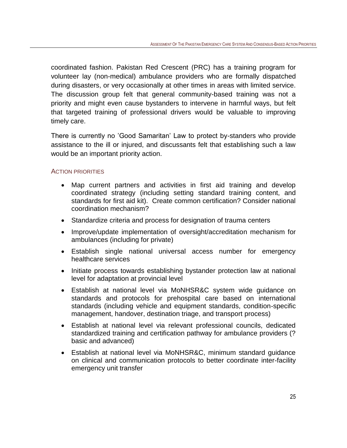coordinated fashion. Pakistan Red Crescent (PRC) has a training program for volunteer lay (non-medical) ambulance providers who are formally dispatched during disasters, or very occasionally at other times in areas with limited service. The discussion group felt that general community-based training was not a priority and might even cause bystanders to intervene in harmful ways, but felt that targeted training of professional drivers would be valuable to improving timely care.

There is currently no 'Good Samaritan' Law to protect by-standers who provide assistance to the ill or injured, and discussants felt that establishing such a law would be an important priority action.

#### <span id="page-24-0"></span>ACTION PRIORITIES

- Map current partners and activities in first aid training and develop coordinated strategy (including setting standard training content, and standards for first aid kit). Create common certification? Consider national coordination mechanism?
- Standardize criteria and process for designation of trauma centers
- Improve/update implementation of oversight/accreditation mechanism for ambulances (including for private)
- Establish single national universal access number for emergency healthcare services
- Initiate process towards establishing bystander protection law at national level for adaptation at provincial level
- Establish at national level via MoNHSR&C system wide guidance on standards and protocols for prehospital care based on international standards (including vehicle and equipment standards, condition-specific management, handover, destination triage, and transport process)
- Establish at national level via relevant professional councils, dedicated standardized training and certification pathway for ambulance providers (? basic and advanced)
- Establish at national level via MoNHSR&C, minimum standard guidance on clinical and communication protocols to better coordinate inter-facility emergency unit transfer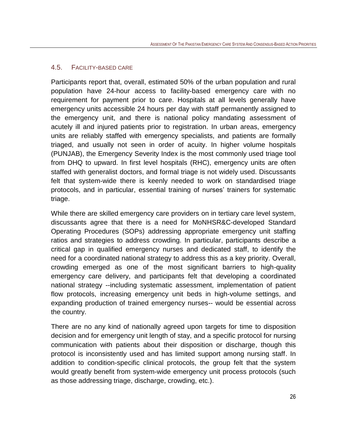## <span id="page-25-0"></span>4.5. FACILITY-BASED CARE

Participants report that, overall, estimated 50% of the urban population and rural population have 24-hour access to facility-based emergency care with no requirement for payment prior to care. Hospitals at all levels generally have emergency units accessible 24 hours per day with staff permanently assigned to the emergency unit, and there is national policy mandating assessment of acutely ill and injured patients prior to registration. In urban areas, emergency units are reliably staffed with emergency specialists, and patients are formally triaged, and usually not seen in order of acuity. In higher volume hospitals (PUNJAB), the Emergency Severity Index is the most commonly used triage tool from DHQ to upward. In first level hospitals (RHC), emergency units are often staffed with generalist doctors, and formal triage is not widely used. Discussants felt that system-wide there is keenly needed to work on standardised triage protocols, and in particular, essential training of nurses' trainers for systematic triage.

While there are skilled emergency care providers on in tertiary care level system, discussants agree that there is a need for MoNHSR&C-developed Standard Operating Procedures (SOPs) addressing appropriate emergency unit staffing ratios and strategies to address crowding. In particular, participants describe a critical gap in qualified emergency nurses and dedicated staff, to identify the need for a coordinated national strategy to address this as a key priority. Overall, crowding emerged as one of the most significant barriers to high-quality emergency care delivery, and participants felt that developing a coordinated national strategy --including systematic assessment, implementation of patient flow protocols, increasing emergency unit beds in high-volume settings, and expanding production of trained emergency nurses-- would be essential across the country.

There are no any kind of nationally agreed upon targets for time to disposition decision and for emergency unit length of stay, and a specific protocol for nursing communication with patients about their disposition or discharge, though this protocol is inconsistently used and has limited support among nursing staff. In addition to condition-specific clinical protocols, the group felt that the system would greatly benefit from system-wide emergency unit process protocols (such as those addressing triage, discharge, crowding, etc.).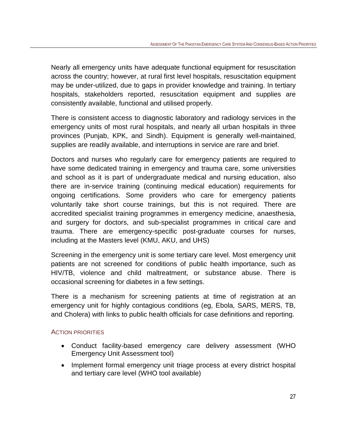Nearly all emergency units have adequate functional equipment for resuscitation across the country; however, at rural first level hospitals, resuscitation equipment may be under-utilized, due to gaps in provider knowledge and training. In tertiary hospitals, stakeholders reported, resuscitation equipment and supplies are consistently available, functional and utilised properly.

There is consistent access to diagnostic laboratory and radiology services in the emergency units of most rural hospitals, and nearly all urban hospitals in three provinces (Punjab, KPK, and Sindh). Equipment is generally well-maintained, supplies are readily available, and interruptions in service are rare and brief.

Doctors and nurses who regularly care for emergency patients are required to have some dedicated training in emergency and trauma care, some universities and school as it is part of undergraduate medical and nursing education, also there are in-service training (continuing medical education) requirements for ongoing certifications. Some providers who care for emergency patients voluntarily take short course trainings, but this is not required. There are accredited specialist training programmes in emergency medicine, anaesthesia, and surgery for doctors, and sub-specialist programmes in critical care and trauma. There are emergency-specific post-graduate courses for nurses, including at the Masters level (KMU, AKU, and UHS)

Screening in the emergency unit is some tertiary care level. Most emergency unit patients are not screened for conditions of public health importance, such as HIV/TB, violence and child maltreatment, or substance abuse. There is occasional screening for diabetes in a few settings.

There is a mechanism for screening patients at time of registration at an emergency unit for highly contagious conditions (eg, Ebola, SARS, MERS, TB, and Cholera) with links to public health officials for case definitions and reporting.

## <span id="page-26-0"></span>ACTION PRIORITIES

- Conduct facility-based emergency care delivery assessment (WHO Emergency Unit Assessment tool)
- Implement formal emergency unit triage process at every district hospital and tertiary care level (WHO tool available)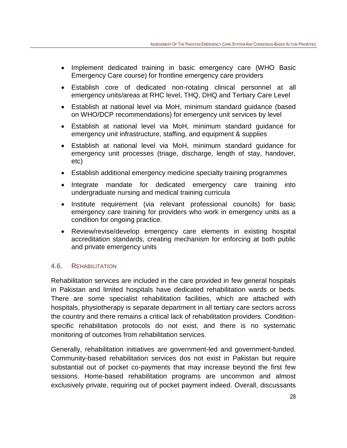- Implement dedicated training in basic emergency care (WHO Basic Emergency Care course) for frontline emergency care providers
- Establish core of dedicated non-rotating clinical personnel at all emergency units/areas at RHC level, THQ, DHQ and Tertiary Care Level
- Establish at national level via MoH, minimum standard guidance (based on WHO/DCP recommendations) for emergency unit services by level
- Establish at national level via MoH, minimum standard guidance for emergency unit infrastructure, staffing, and equipment & supplies
- Establish at national level via MoH, minimum standard guidance for emergency unit processes (triage, discharge, length of stay, handover, etc)
- Establish additional emergency medicine specialty training programmes
- Integrate mandate for dedicated emergency care training into undergraduate nursing and medical training curricula
- Institute requirement (via relevant professional councils) for basic emergency care training for providers who work in emergency units as a condition for ongoing practice.
- Review/revise/develop emergency care elements in existing hospital accreditation standards, creating mechanism for enforcing at both public and private emergency units

## <span id="page-27-0"></span>4.6. REHABILITATION

Rehabilitation services are included in the care provided in few general hospitals in Pakistan and limited hospitals have dedicated rehabilitation wards or beds. There are some specialist rehabilitation facilities, which are attached with hospitals, physiotherapy is separate department in all tertiary care sectors across the country and there remains a critical lack of rehabilitation providers. Conditionspecific rehabilitation protocols do not exist, and there is no systematic monitoring of outcomes from rehabilitation services.

Generally, rehabilitation initiatives are government-led and government-funded. Community-based rehabilitation services dos not exist in Pakistan but require substantial out of pocket co-payments that may increase beyond the first few sessions. Home-based rehabilitation programs are uncommon and almost exclusively private, requiring out of pocket payment indeed. Overall, discussants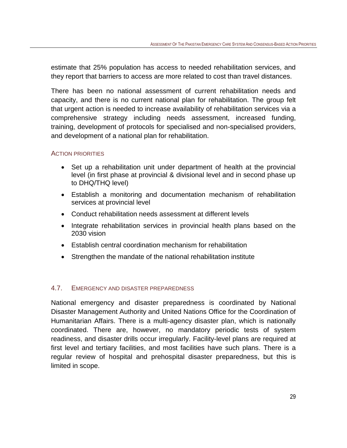estimate that 25% population has access to needed rehabilitation services, and they report that barriers to access are more related to cost than travel distances.

There has been no national assessment of current rehabilitation needs and capacity, and there is no current national plan for rehabilitation. The group felt that urgent action is needed to increase availability of rehabilitation services via a comprehensive strategy including needs assessment, increased funding, training, development of protocols for specialised and non-specialised providers, and development of a national plan for rehabilitation.

## <span id="page-28-0"></span>ACTION PRIORITIES

- Set up a rehabilitation unit under department of health at the provincial level (in first phase at provincial & divisional level and in second phase up to DHQ/THQ level)
- Establish a monitoring and documentation mechanism of rehabilitation services at provincial level
- Conduct rehabilitation needs assessment at different levels
- Integrate rehabilitation services in provincial health plans based on the 2030 vision
- Establish central coordination mechanism for rehabilitation
- Strengthen the mandate of the national rehabilitation institute

## <span id="page-28-1"></span>4.7. EMERGENCY AND DISASTER PREPAREDNESS

National emergency and disaster preparedness is coordinated by National Disaster Management Authority and United Nations Office for the Coordination of Humanitarian Affairs. There is a multi-agency disaster plan, which is nationally coordinated. There are, however, no mandatory periodic tests of system readiness, and disaster drills occur irregularly. Facility-level plans are required at first level and tertiary facilities, and most facilities have such plans. There is a regular review of hospital and prehospital disaster preparedness, but this is limited in scope.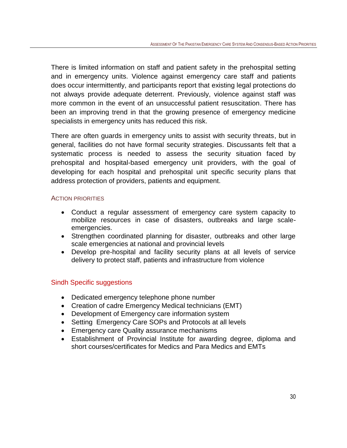There is limited information on staff and patient safety in the prehospital setting and in emergency units. Violence against emergency care staff and patients does occur intermittently, and participants report that existing legal protections do not always provide adequate deterrent. Previously, violence against staff was more common in the event of an unsuccessful patient resuscitation. There has been an improving trend in that the growing presence of emergency medicine specialists in emergency units has reduced this risk.

There are often guards in emergency units to assist with security threats, but in general, facilities do not have formal security strategies. Discussants felt that a systematic process is needed to assess the security situation faced by prehospital and hospital-based emergency unit providers, with the goal of developing for each hospital and prehospital unit specific security plans that address protection of providers, patients and equipment.

#### <span id="page-29-0"></span>ACTION PRIORITIES

- Conduct a regular assessment of emergency care system capacity to mobilize resources in case of disasters, outbreaks and large scaleemergencies.
- Strengthen coordinated planning for disaster, outbreaks and other large scale emergencies at national and provincial levels
- Develop pre-hospital and facility security plans at all levels of service delivery to protect staff, patients and infrastructure from violence

## Sindh Specific suggestions

- Dedicated emergency telephone phone number
- Creation of cadre Emergency Medical technicians (EMT)
- Development of Emergency care information system
- Setting Emergency Care SOPs and Protocols at all levels
- Emergency care Quality assurance mechanisms
- Establishment of Provincial Institute for awarding degree, diploma and short courses/certificates for Medics and Para Medics and EMTs